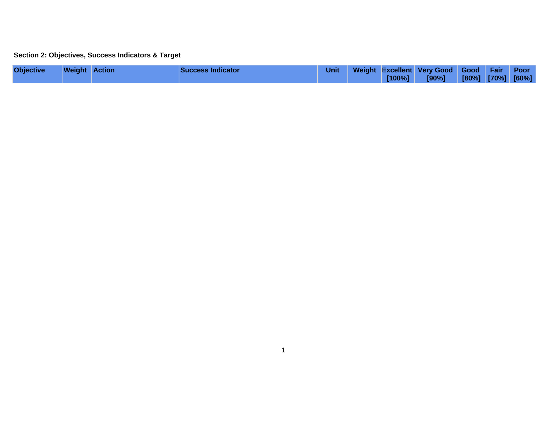## **Section 2: Objectives, Success Indicators & Target**

| <b>Objective</b> | <b>Weight Action</b> | <b>Success Indicator</b> | <b>Unit</b> | $[100\%]$ | Weight Excellent Very Good Good Fair Poor<br>[90%] | [80%] [70%] [60%] |  |
|------------------|----------------------|--------------------------|-------------|-----------|----------------------------------------------------|-------------------|--|
|                  |                      |                          |             |           |                                                    |                   |  |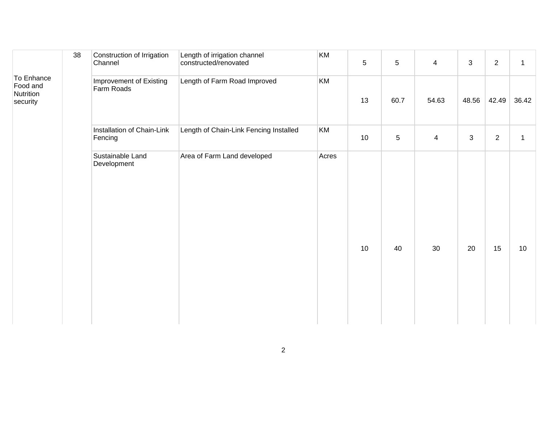|                                                 | 38 | Construction of Irrigation<br>Channel | Length of irrigation channel<br>constructed/renovated | KM    | 5  | $\overline{5}$ | $\overline{4}$ | 3     | 2              | $\mathbf{1}$ |
|-------------------------------------------------|----|---------------------------------------|-------------------------------------------------------|-------|----|----------------|----------------|-------|----------------|--------------|
| To Enhance<br>Food and<br>Nutrition<br>security |    | Improvement of Existing<br>Farm Roads | Length of Farm Road Improved                          | KM    | 13 | 60.7           | 54.63          | 48.56 | 42.49          | 36.42        |
|                                                 |    | Installation of Chain-Link<br>Fencing | Length of Chain-Link Fencing Installed                | KM    | 10 | $\overline{5}$ | $\overline{4}$ | 3     | $\overline{2}$ | $\mathbf{1}$ |
|                                                 |    | Sustainable Land<br>Development       | Area of Farm Land developed                           | Acres | 10 | 40             | 30             | 20    | 15             | 10           |